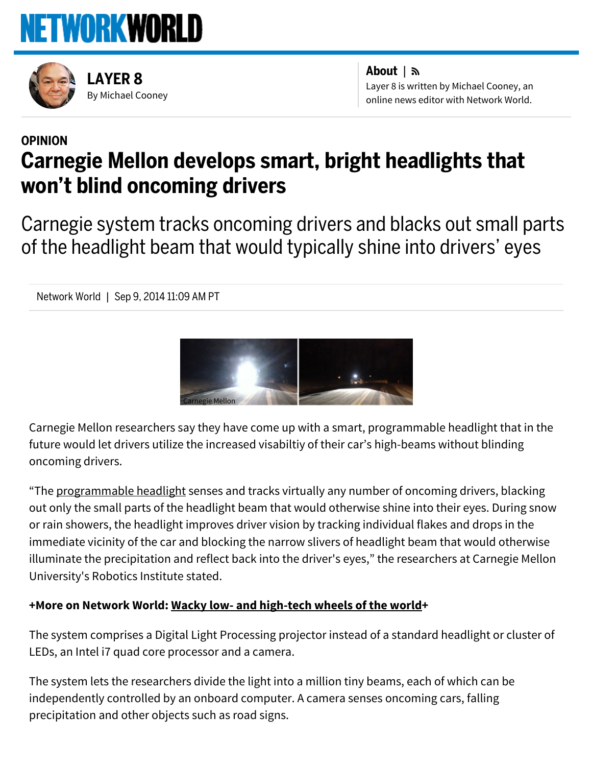



By [Michael](http://www.networkworld.com/author/Michael-Cooney/) Cooney [LAYER](http://www.networkworld.com/blog/layer-8/) 8

About | Layer 8 is written by Michael Cooney, an online news editor with Network World.

# [OPINION](http://www.networkworld.com/opinion) Carnegie Mellon develops smart, bright headlights that won't blind oncoming drivers

Carnegie system tracks oncoming drivers and blacks out small parts of the headlight beam that would typically shine into drivers' eyes

Network World | Sep 9, 2014 11:09 AM PT



Carnegie Mellon researchers say they have come up with a smart, programmable headlight that in the future would let drivers utilize the increased visabiltiy of their car's high-beams without blinding oncoming drivers.

"The [programmable](http://www.cs.cmu.edu/smartheadlight/faq3.html) headlight senses and tracks virtually any number of oncoming drivers, blacking out only the small parts of the headlight beam that would otherwise shine into their eyes. During snow or rain showers, the headlight improves driver vision by tracking individual flakes and drops in the immediate vicinity of the car and blocking the narrow slivers of headlight beam that would otherwise illuminate the precipitation and reflect back into the driver's eyes," the researchers at Carnegie Mellon University's Robotics Institute stated.

## +More on Network World: Wacky low- and [high-tech](http://www.networkworld.com/slideshow/103747/) wheels of the world+

The system comprises a Digital Light Processing projector instead of a standard headlight or cluster of LEDs, an Intel i7 quad core processor and a camera.

The system lets the researchers divide the light into a million tiny beams, each of which can be independently controlled by an onboard computer. A camera senses oncoming cars, falling precipitation and other objects such as road signs.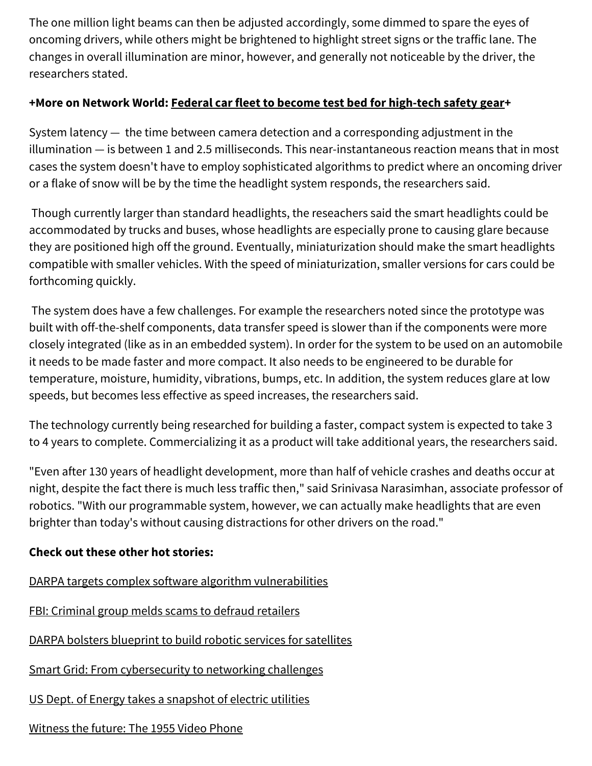The one million light beams can then be adjusted accordingly, some dimmed to spare the eyes of oncoming drivers, while others might be brightened to highlight street signs or the traffic lane. The changes in overall illumination are minor, however, and generally not noticeable by the driver, the researchers stated.

## +More on Network World: Federal car fleet to become test bed for [high-tech](http://www.networkworld.com/article/2226911/securityederal-car-fleet-to-become-test-bed-for-hi/security/federal-car-fleet-to-become-test-bed-for-high-tech-safety-gear.html) safety gear+

System latency — the time between camera detection and a corresponding adjustment in the illumination — is between 1 and 2.5 milliseconds. This near-instantaneous reaction means that in most cases the system doesn't have to employ sophisticated algorithms to predict where an oncoming driver or a flake of snow will be by the time the headlight system responds, the researchers said.

Though currently larger than standard headlights, the reseachers said the smart headlights could be accommodated by trucks and buses, whose headlights are especially prone to causing glare because they are positioned high off the ground. Eventually, miniaturization should make the smart headlights compatible with smaller vehicles. With the speed of miniaturization, smaller versions for cars could be forthcoming quickly.

The system does have a few challenges. For example the researchers noted since the prototype was built with off-the-shelf components, data transfer speed is slower than if the components were more closely integrated (like as in an embedded system). In order for the system to be used on an automobile it needs to be made faster and more compact. It also needs to be engineered to be durable for temperature, moisture, humidity, vibrations, bumps, etc. In addition, the system reduces glare at low speeds, but becomes less effective as speed increases, the researchers said.

The technology currently being researched for building a faster, compact system is expected to take 3 to 4 years to complete. Commercializing it as a product will take additional years, the researchers said.

"Even after 130 years of headlight development, more than half of vehicle crashes and deaths occur at night, despite the fact there is much less traffic then," said Srinivasa Narasimhan, associate professor of robotics. "With our programmable system, however, we can actually make headlights that are even brighter than today's without causing distractions for other drivers on the road."

#### Check out these other hot stories:

DARPA targets complex software algorithm [vulnerabilities](http://www.networkworld.com/article/2604403/security0/darpa-targets-complex-software-algorithm-vulnerabilities.html)

FBI: [Criminal](http://www.networkworld.com/article/2602390/security0/fbi-criminal-group-melds-scams-to-defraud-retailers.html) group melds scams to defraud retailers

DARPA bolsters [blueprint](http://www.networkworld.com/article/2601824/security0/darpa-bolsters-blueprint-to-build-robotic-services-for-satellites.html) to build robotic services for satellites

Smart Grid: From [cybersecurity](http://www.networkworld.com/article/2601400/security0/the-does-smart-grid-snapshot.html) to networking challenges

US Dept. of Energy takes a [snapshot](http://www.networkworld.com/article/2601400/security0/the-does-smart-grid-snapshot.html) of electric utilities

# [Witness](http://www.networkworld.com/article/2600838/videoconferencing/witness-the-future-the-1955-video-phone.html) the future: The 1955 Video Phone